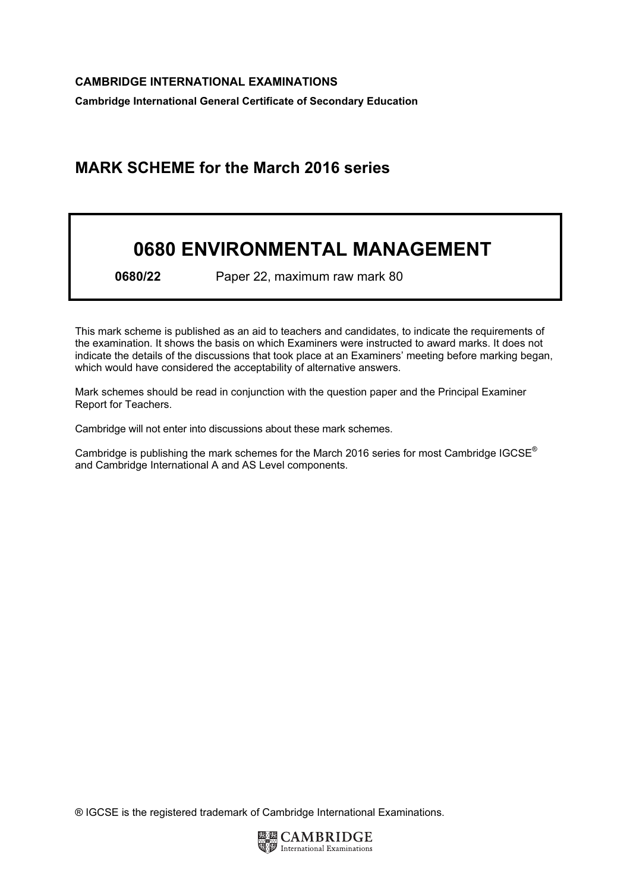Cambridge International General Certificate of Secondary Education

## MARK SCHEME for the March 2016 series

## 0680 ENVIRONMENTAL MANAGEMENT

0680/22 Paper 22, maximum raw mark 80

This mark scheme is published as an aid to teachers and candidates, to indicate the requirements of the examination. It shows the basis on which Examiners were instructed to award marks. It does not indicate the details of the discussions that took place at an Examiners' meeting before marking began, which would have considered the acceptability of alternative answers.

Mark schemes should be read in conjunction with the question paper and the Principal Examiner Report for Teachers.

Cambridge will not enter into discussions about these mark schemes.

Cambridge is publishing the mark schemes for the March 2016 series for most Cambridge IGCSE*®* and Cambridge International A and AS Level components.

® IGCSE is the registered trademark of Cambridge International Examinations.

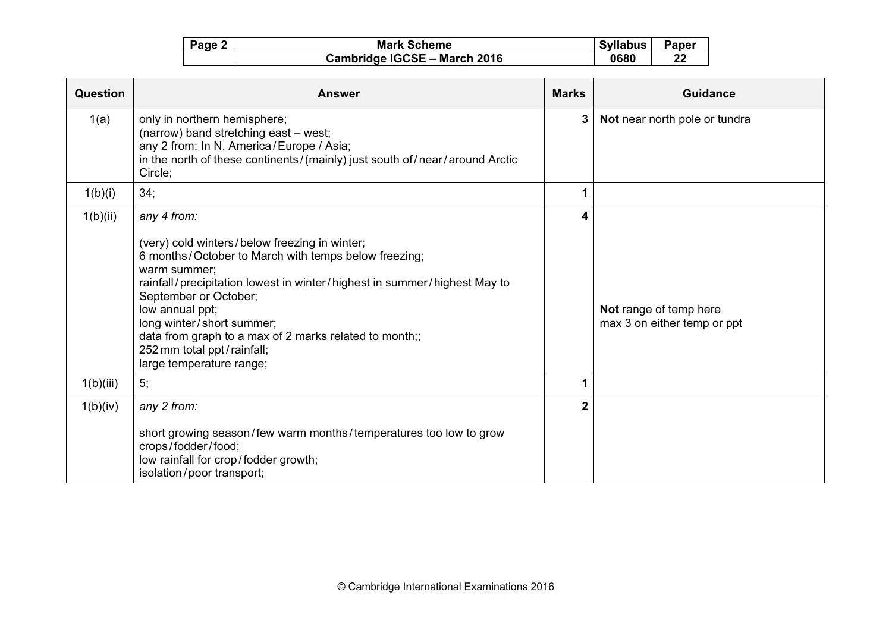| Page 2 | <b>Mark Scheme</b>           | <b>Syllabus</b> | Paper |
|--------|------------------------------|-----------------|-------|
|        | Cambridge IGCSE - March 2016 | 0680            | 22    |

| Question  | <b>Answer</b>                                                                                                                                                                                                                                                                                                                                                                                                 | <b>Marks</b>   | <b>Guidance</b>                                       |
|-----------|---------------------------------------------------------------------------------------------------------------------------------------------------------------------------------------------------------------------------------------------------------------------------------------------------------------------------------------------------------------------------------------------------------------|----------------|-------------------------------------------------------|
| 1(a)      | only in northern hemisphere;<br>(narrow) band stretching east - west;<br>any 2 from: In N. America / Europe / Asia;<br>in the north of these continents/(mainly) just south of/near/around Arctic<br>Circle;                                                                                                                                                                                                  | 3 <sup>1</sup> | Not near north pole or tundra                         |
| 1(b)(i)   | 34;                                                                                                                                                                                                                                                                                                                                                                                                           | 1              |                                                       |
| 1(b)(ii)  | any 4 from:<br>(very) cold winters/below freezing in winter;<br>6 months/October to March with temps below freezing;<br>warm summer;<br>rainfall/precipitation lowest in winter/highest in summer/highest May to<br>September or October;<br>low annual ppt;<br>long winter/short summer;<br>data from graph to a max of 2 marks related to month;;<br>252 mm total ppt/rainfall;<br>large temperature range; | 4              | Not range of temp here<br>max 3 on either temp or ppt |
| 1(b)(iii) | 5;                                                                                                                                                                                                                                                                                                                                                                                                            | 1              |                                                       |
| 1(b)(iv)  | any 2 from:<br>short growing season/few warm months/temperatures too low to grow<br>crops/fodder/food;<br>low rainfall for crop/fodder growth;<br>isolation/poor transport;                                                                                                                                                                                                                                   | $\mathbf{2}$   |                                                       |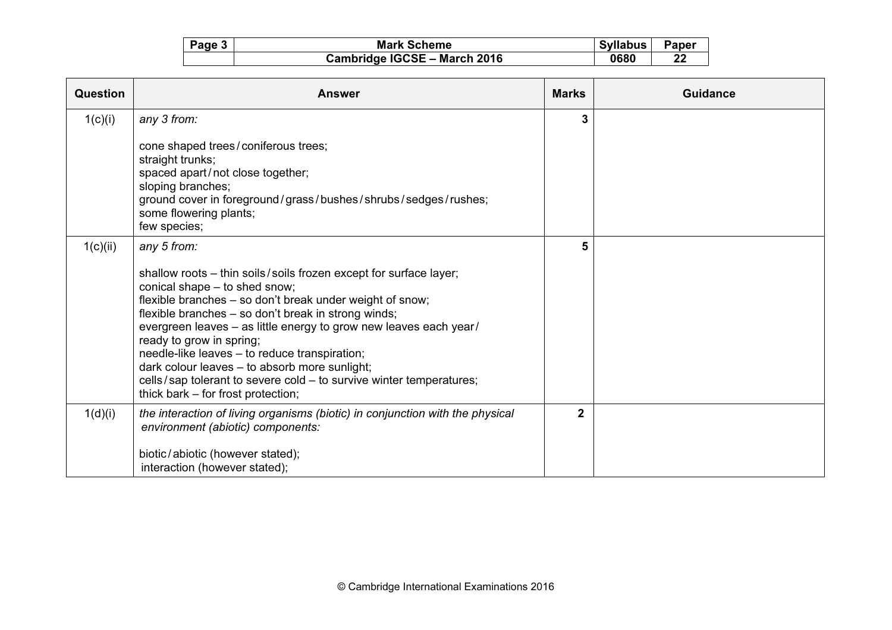| Page 3 | <b>Mark Scheme</b>           | <b>Syllabus</b> | <b>Paper</b> |
|--------|------------------------------|-----------------|--------------|
|        | Cambridge IGCSE - March 2016 | 0680            | 22           |

| Question | <b>Answer</b>                                                                                                                                                                                                                                                                                                                                                                                                                                                                                                                                                        | <b>Marks</b>   | <b>Guidance</b> |
|----------|----------------------------------------------------------------------------------------------------------------------------------------------------------------------------------------------------------------------------------------------------------------------------------------------------------------------------------------------------------------------------------------------------------------------------------------------------------------------------------------------------------------------------------------------------------------------|----------------|-----------------|
| 1(c)(i)  | any 3 from:<br>cone shaped trees/coniferous trees;<br>straight trunks;<br>spaced apart/not close together;<br>sloping branches;<br>ground cover in foreground/grass/bushes/shrubs/sedges/rushes;<br>some flowering plants;                                                                                                                                                                                                                                                                                                                                           | 3              |                 |
| 1(c)(ii) | few species;<br>any 5 from:<br>shallow roots - thin soils/soils frozen except for surface layer;<br>conical shape - to shed snow;<br>flexible branches - so don't break under weight of snow;<br>flexible branches - so don't break in strong winds;<br>evergreen leaves - as little energy to grow new leaves each year/<br>ready to grow in spring;<br>needle-like leaves - to reduce transpiration;<br>dark colour leaves - to absorb more sunlight;<br>cells/sap tolerant to severe cold - to survive winter temperatures;<br>thick bark – for frost protection; | 5              |                 |
| 1(d)(i)  | the interaction of living organisms (biotic) in conjunction with the physical<br>environment (abiotic) components:<br>biotic/abiotic (however stated);<br>interaction (however stated);                                                                                                                                                                                                                                                                                                                                                                              | 2 <sup>1</sup> |                 |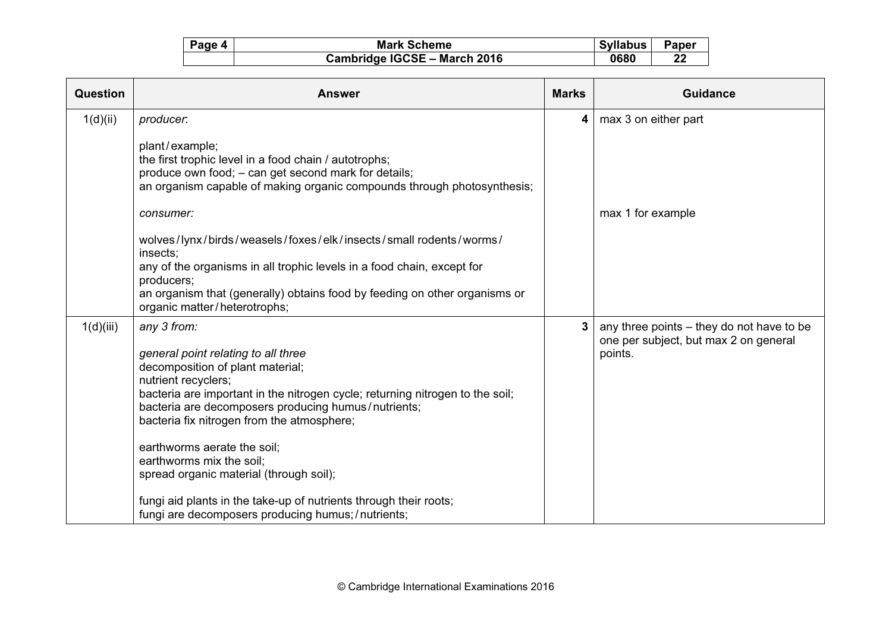| Page 4 | <b>Mark Scheme</b>           | <b>Syllabus</b> | Paper |
|--------|------------------------------|-----------------|-------|
|        | Cambridge IGCSE - March 2016 | 0680            | 22    |

| Question  | <b>Answer</b>                                                                                                                                                                                              | <b>Marks</b> | Guidance                                                                           |
|-----------|------------------------------------------------------------------------------------------------------------------------------------------------------------------------------------------------------------|--------------|------------------------------------------------------------------------------------|
| 1(d)(ii)  | producer.                                                                                                                                                                                                  | 4            | max 3 on either part                                                               |
|           | plant/example;<br>the first trophic level in a food chain / autotrophs;<br>produce own food; - can get second mark for details;<br>an organism capable of making organic compounds through photosynthesis; |              |                                                                                    |
|           | consumer:                                                                                                                                                                                                  |              | max 1 for example                                                                  |
|           | wolves/lynx/birds/weasels/foxes/elk/insects/small rodents/worms/<br>insects:<br>any of the organisms in all trophic levels in a food chain, except for                                                     |              |                                                                                    |
|           | producers;<br>an organism that (generally) obtains food by feeding on other organisms or<br>organic matter/heterotrophs;                                                                                   |              |                                                                                    |
| 1(d)(iii) | any 3 from:                                                                                                                                                                                                | 3            | any three points – they do not have to be<br>one per subject, but max 2 on general |
|           | general point relating to all three<br>decomposition of plant material;                                                                                                                                    |              | points.                                                                            |
|           | nutrient recyclers;                                                                                                                                                                                        |              |                                                                                    |
|           | bacteria are important in the nitrogen cycle; returning nitrogen to the soil;                                                                                                                              |              |                                                                                    |
|           | bacteria are decomposers producing humus/nutrients;<br>bacteria fix nitrogen from the atmosphere;                                                                                                          |              |                                                                                    |
|           | earthworms aerate the soil;                                                                                                                                                                                |              |                                                                                    |
|           | earthworms mix the soil;                                                                                                                                                                                   |              |                                                                                    |
|           | spread organic material (through soil);                                                                                                                                                                    |              |                                                                                    |
|           | fungi aid plants in the take-up of nutrients through their roots;<br>fungi are decomposers producing humus; / nutrients;                                                                                   |              |                                                                                    |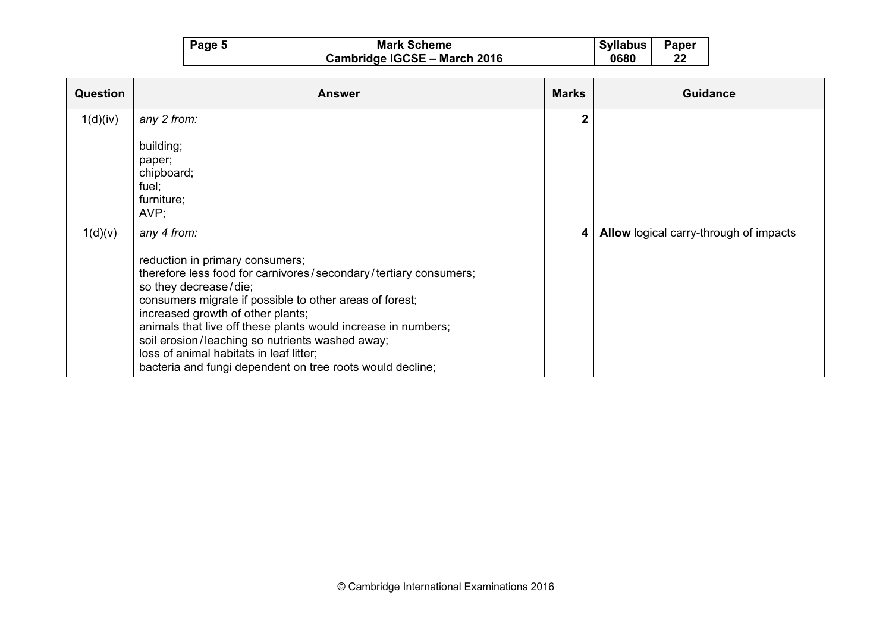| Page 5 | <b>Mark Scheme</b>                  | <b>Syllabus</b> | Paper |
|--------|-------------------------------------|-----------------|-------|
|        | <b>Cambridge IGCSE - March 2016</b> | 0680            | 22    |

| <b>Answer</b>                                                    | <b>Marks</b>                                                                                                                                                                                                                                                              | <b>Guidance</b>                        |
|------------------------------------------------------------------|---------------------------------------------------------------------------------------------------------------------------------------------------------------------------------------------------------------------------------------------------------------------------|----------------------------------------|
| any 2 from:                                                      | $\overline{2}$                                                                                                                                                                                                                                                            |                                        |
| building;                                                        |                                                                                                                                                                                                                                                                           |                                        |
|                                                                  |                                                                                                                                                                                                                                                                           |                                        |
| fuel;                                                            |                                                                                                                                                                                                                                                                           |                                        |
| $AVP$ ;                                                          |                                                                                                                                                                                                                                                                           |                                        |
| any 4 from:                                                      | 4                                                                                                                                                                                                                                                                         | Allow logical carry-through of impacts |
| reduction in primary consumers;                                  |                                                                                                                                                                                                                                                                           |                                        |
| therefore less food for carnivores/secondary/tertiary consumers; |                                                                                                                                                                                                                                                                           |                                        |
| consumers migrate if possible to other areas of forest;          |                                                                                                                                                                                                                                                                           |                                        |
|                                                                  |                                                                                                                                                                                                                                                                           |                                        |
| soil erosion/leaching so nutrients washed away;                  |                                                                                                                                                                                                                                                                           |                                        |
|                                                                  |                                                                                                                                                                                                                                                                           |                                        |
|                                                                  | paper;<br>chipboard;<br>furniture;<br>so they decrease/die;<br>increased growth of other plants;<br>animals that live off these plants would increase in numbers;<br>loss of animal habitats in leaf litter;<br>bacteria and fungi dependent on tree roots would decline; |                                        |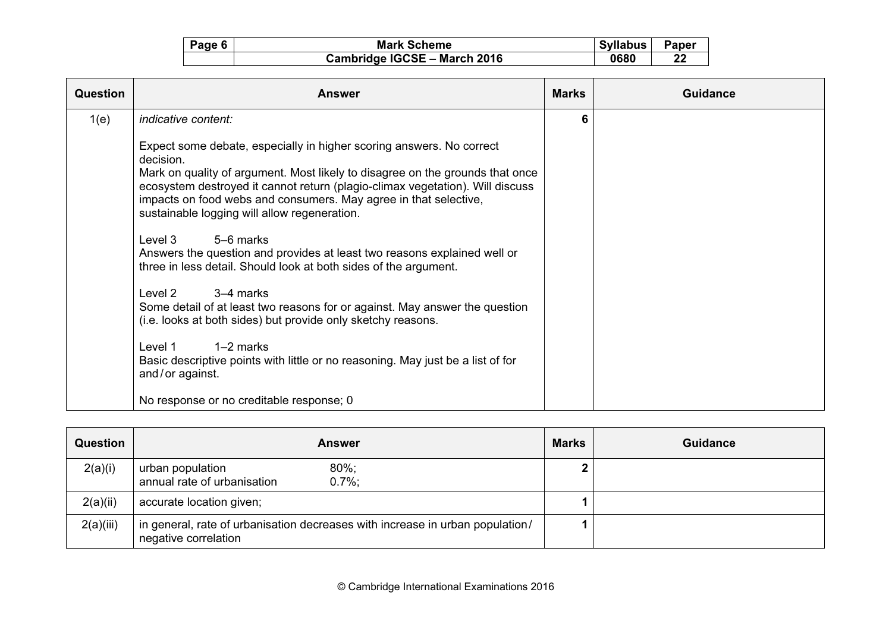| Page 6 | <b>Mark Scheme</b>           | <b>Syllabus</b> | Paper |
|--------|------------------------------|-----------------|-------|
|        | Cambridge IGCSE - March 2016 | 0680            | 22    |

| Question | <b>Answer</b>                                                                                                                                                                                                                                                                                                                                                           | <b>Marks</b> | Guidance |
|----------|-------------------------------------------------------------------------------------------------------------------------------------------------------------------------------------------------------------------------------------------------------------------------------------------------------------------------------------------------------------------------|--------------|----------|
| 1(e)     | indicative content:                                                                                                                                                                                                                                                                                                                                                     | 6            |          |
|          | Expect some debate, especially in higher scoring answers. No correct<br>decision.<br>Mark on quality of argument. Most likely to disagree on the grounds that once<br>ecosystem destroyed it cannot return (plagio-climax vegetation). Will discuss<br>impacts on food webs and consumers. May agree in that selective,<br>sustainable logging will allow regeneration. |              |          |
|          | 5-6 marks<br>Level 3<br>Answers the question and provides at least two reasons explained well or<br>three in less detail. Should look at both sides of the argument.                                                                                                                                                                                                    |              |          |
|          | 3–4 marks<br>Level 2<br>Some detail of at least two reasons for or against. May answer the question<br>(i.e. looks at both sides) but provide only sketchy reasons.                                                                                                                                                                                                     |              |          |
|          | $1-2$ marks<br>Level 1<br>Basic descriptive points with little or no reasoning. May just be a list of for<br>and/or against.                                                                                                                                                                                                                                            |              |          |
|          | No response or no creditable response; 0                                                                                                                                                                                                                                                                                                                                |              |          |

| <b>Question</b> | <b>Answer</b>                                                                                         | <b>Marks</b> | <b>Guidance</b> |
|-----------------|-------------------------------------------------------------------------------------------------------|--------------|-----------------|
| 2(a)(i)         | $80\%$ ;<br>urban population<br>annual rate of urbanisation<br>$0.7\%$                                |              |                 |
| 2(a)(ii)        | accurate location given;                                                                              |              |                 |
| 2(a)(iii)       | in general, rate of urbanisation decreases with increase in urban population/<br>negative correlation |              |                 |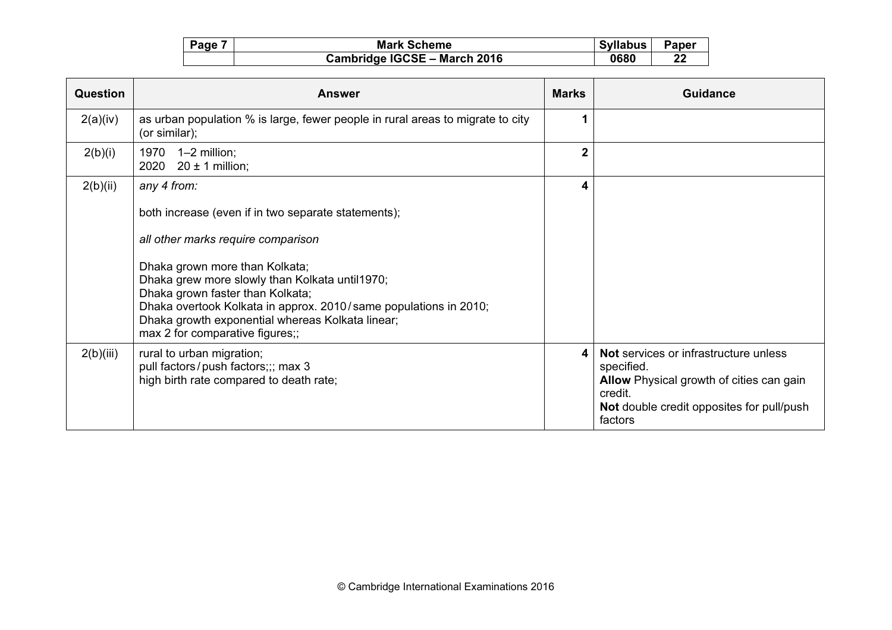| Page | <b>Mark Scheme</b>           | <b>Syllabus</b> | Paper    |
|------|------------------------------|-----------------|----------|
|      | Cambridge IGCSE - March 2016 | 0680            | ົາ<br>44 |

| <b>Question</b> | <b>Answer</b>                                                                                                                                                                                                                                                                                                                                                                               | <b>Marks</b>   | Guidance                                                                                                                                                           |
|-----------------|---------------------------------------------------------------------------------------------------------------------------------------------------------------------------------------------------------------------------------------------------------------------------------------------------------------------------------------------------------------------------------------------|----------------|--------------------------------------------------------------------------------------------------------------------------------------------------------------------|
| 2(a)(iv)        | as urban population % is large, fewer people in rural areas to migrate to city<br>(or similar);                                                                                                                                                                                                                                                                                             | 1              |                                                                                                                                                                    |
| 2(b)(i)         | 1970<br>1–2 million;<br>$20 \pm 1$ million;<br>2020                                                                                                                                                                                                                                                                                                                                         | $\overline{2}$ |                                                                                                                                                                    |
| 2(b)(ii)        | any 4 from:<br>both increase (even if in two separate statements);<br>all other marks require comparison<br>Dhaka grown more than Kolkata;<br>Dhaka grew more slowly than Kolkata until1970;<br>Dhaka grown faster than Kolkata;<br>Dhaka overtook Kolkata in approx. 2010/same populations in 2010;<br>Dhaka growth exponential whereas Kolkata linear;<br>max 2 for comparative figures;; | 4              |                                                                                                                                                                    |
| 2(b)(iii)       | rural to urban migration;<br>pull factors/push factors;;; max 3<br>high birth rate compared to death rate;                                                                                                                                                                                                                                                                                  | 4              | Not services or infrastructure unless<br>specified.<br>Allow Physical growth of cities can gain<br>credit.<br>Not double credit opposites for pull/push<br>factors |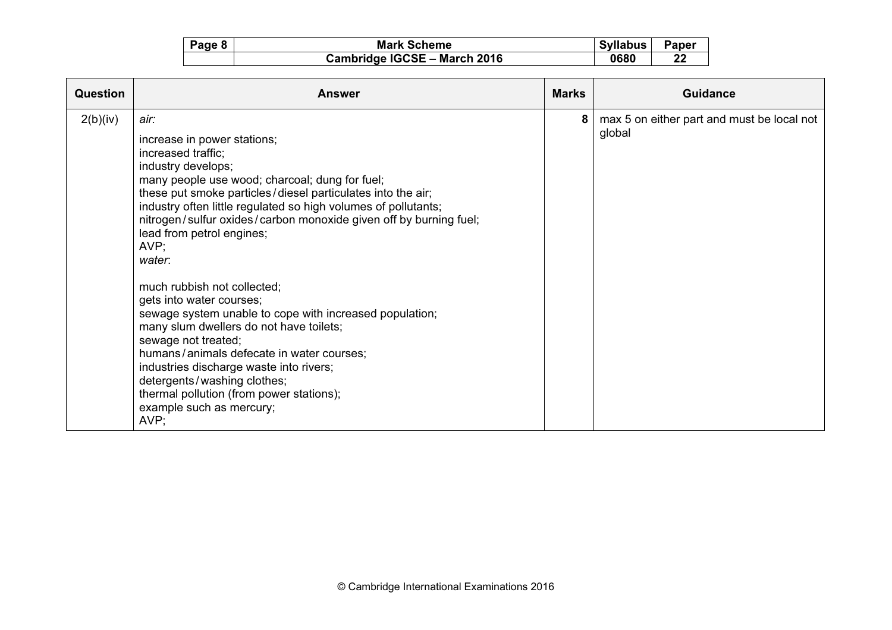| Page 8 | <b>Mark Scheme</b>           | <b>Syllabus</b> | Paper |
|--------|------------------------------|-----------------|-------|
|        | Cambridge IGCSE - March 2016 | 0680            | 22    |

| Question | <b>Answer</b>                                                                                                                                                                                                                                                                                                                                                                                                                                                                                                                                                                                                                                                                                                                                                                         | <b>Marks</b> | Guidance                                             |
|----------|---------------------------------------------------------------------------------------------------------------------------------------------------------------------------------------------------------------------------------------------------------------------------------------------------------------------------------------------------------------------------------------------------------------------------------------------------------------------------------------------------------------------------------------------------------------------------------------------------------------------------------------------------------------------------------------------------------------------------------------------------------------------------------------|--------------|------------------------------------------------------|
| 2(b)(iv) | air:<br>increase in power stations;<br>increased traffic;<br>industry develops;<br>many people use wood; charcoal; dung for fuel;<br>these put smoke particles/diesel particulates into the air;<br>industry often little regulated so high volumes of pollutants;<br>nitrogen/sulfur oxides/carbon monoxide given off by burning fuel;<br>lead from petrol engines;<br>AVP;<br>water:<br>much rubbish not collected;<br>gets into water courses;<br>sewage system unable to cope with increased population;<br>many slum dwellers do not have toilets;<br>sewage not treated;<br>humans/animals defecate in water courses;<br>industries discharge waste into rivers;<br>detergents/washing clothes;<br>thermal pollution (from power stations);<br>example such as mercury;<br>AVP; | 8            | max 5 on either part and must be local not<br>global |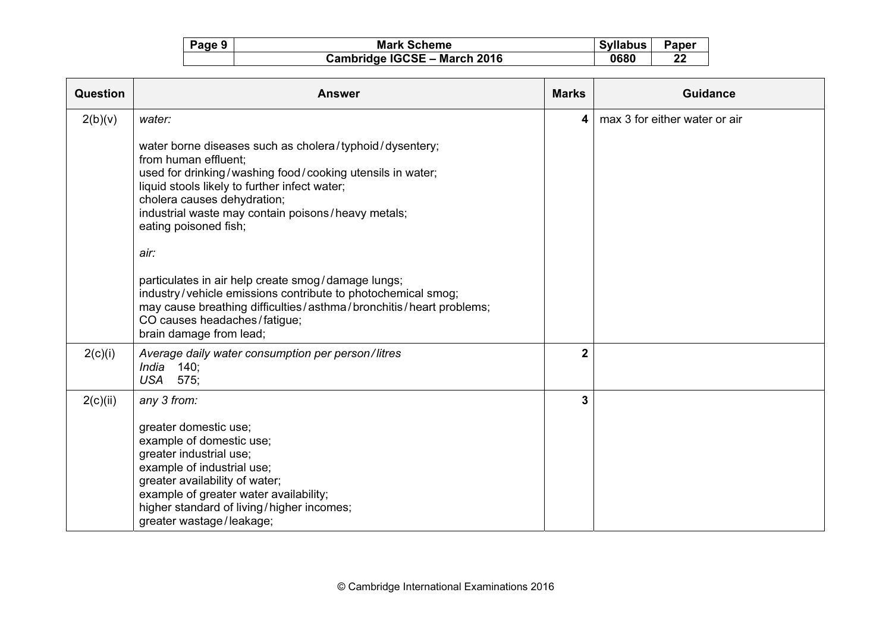| Page 9 | <b>Mark Scheme</b>           | <b>Syllabus</b> | <b>Paper</b> |
|--------|------------------------------|-----------------|--------------|
|        | Cambridge IGCSE - March 2016 | 0680            | 22           |

| Question | <b>Answer</b>                                                                                                                                                                                                                                                                                                                                                                                                                                                                                                                                                                        | <b>Marks</b>            | <b>Guidance</b>               |
|----------|--------------------------------------------------------------------------------------------------------------------------------------------------------------------------------------------------------------------------------------------------------------------------------------------------------------------------------------------------------------------------------------------------------------------------------------------------------------------------------------------------------------------------------------------------------------------------------------|-------------------------|-------------------------------|
| 2(b)(v)  | water:<br>water borne diseases such as cholera/typhoid/dysentery;<br>from human effluent;<br>used for drinking/washing food/cooking utensils in water;<br>liquid stools likely to further infect water;<br>cholera causes dehydration;<br>industrial waste may contain poisons/heavy metals;<br>eating poisoned fish;<br>air:<br>particulates in air help create smog/damage lungs;<br>industry/vehicle emissions contribute to photochemical smog;<br>may cause breathing difficulties/asthma/bronchitis/heart problems;<br>CO causes headaches/fatigue;<br>brain damage from lead; | $\overline{\mathbf{4}}$ | max 3 for either water or air |
| 2(c)(i)  | Average daily water consumption per person/litres<br>India $140$ ;<br><b>USA</b><br>575:                                                                                                                                                                                                                                                                                                                                                                                                                                                                                             | $\overline{2}$          |                               |
| 2(c)(ii) | any 3 from:<br>greater domestic use;<br>example of domestic use;<br>greater industrial use;<br>example of industrial use;<br>greater availability of water;<br>example of greater water availability;<br>higher standard of living/higher incomes;<br>greater wastage/leakage;                                                                                                                                                                                                                                                                                                       | 3                       |                               |